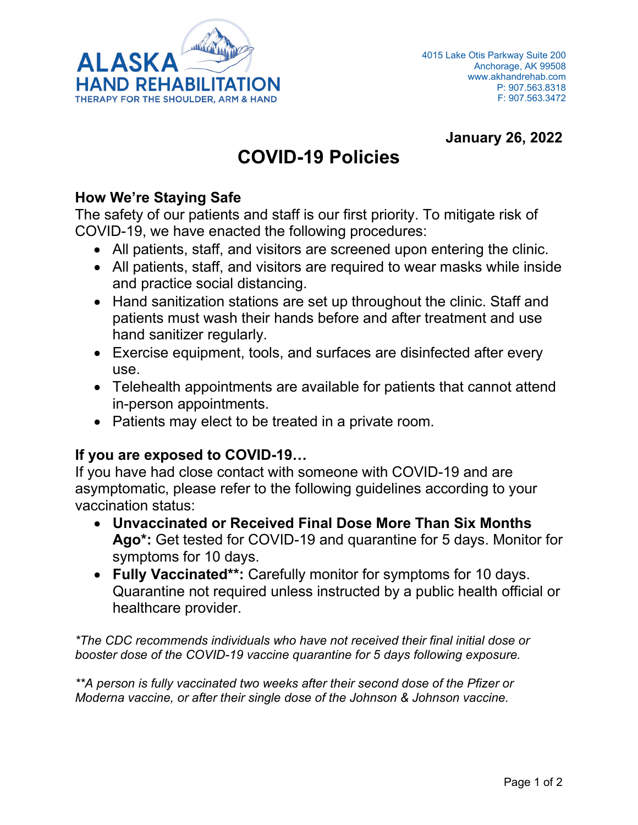

#### **January 26, 2022**

## **COVID-19 Policies**

#### **How We're Staying Safe**

The safety of our patients and staff is our first priority. To mitigate risk of COVID-19, we have enacted the following procedures:

- All patients, staff, and visitors are screened upon entering the clinic.
- All patients, staff, and visitors are required to wear masks while inside and practice social distancing.
- Hand sanitization stations are set up throughout the clinic. Staff and patients must wash their hands before and after treatment and use hand sanitizer regularly.
- Exercise equipment, tools, and surfaces are disinfected after every use.
- Telehealth appointments are available for patients that cannot attend in-person appointments.
- Patients may elect to be treated in a private room.

#### **If you are exposed to COVID-19…**

If you have had close contact with someone with COVID-19 and are asymptomatic, please refer to the following guidelines according to your vaccination status:

- **Unvaccinated or Received Final Dose More Than Six Months Ago\*:** Get tested for COVID-19 and quarantine for 5 days. Monitor for symptoms for 10 days.
- **Fully Vaccinated\*\*:** Carefully monitor for symptoms for 10 days. Quarantine not required unless instructed by a public health official or healthcare provider.

*\*The CDC recommends individuals who have not received their final initial dose or booster dose of the COVID-19 vaccine quarantine for 5 days following exposure.* 

*\*\*A person is fully vaccinated two weeks after their second dose of the Pfizer or Moderna vaccine, or after their single dose of the Johnson & Johnson vaccine.*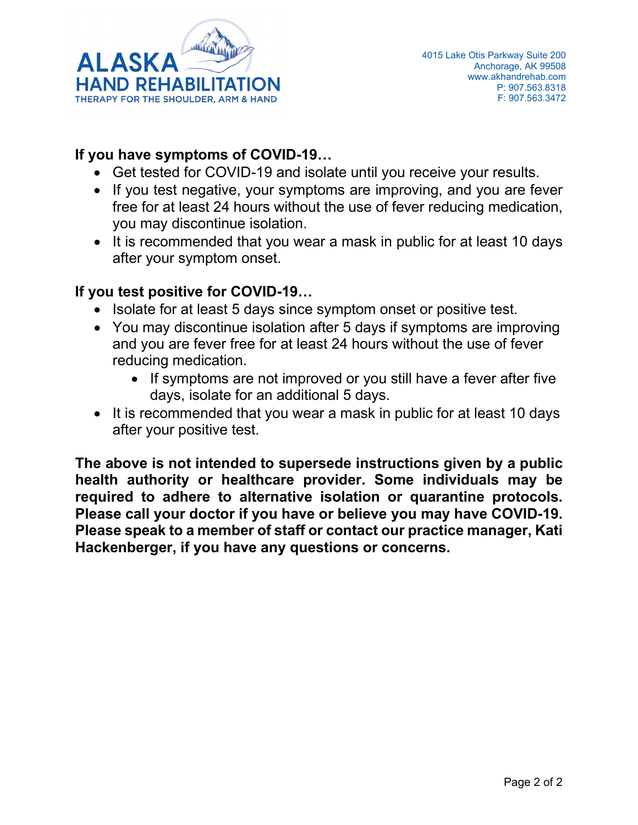

#### **If you have symptoms of COVID-19…**

- Get tested for COVID-19 and isolate until you receive your results.
- If you test negative, your symptoms are improving, and you are fever free for at least 24 hours without the use of fever reducing medication, you may discontinue isolation.
- It is recommended that you wear a mask in public for at least 10 days after your symptom onset.

#### **If you test positive for COVID-19…**

- Isolate for at least 5 days since symptom onset or positive test.
- You may discontinue isolation after 5 days if symptoms are improving and you are fever free for at least 24 hours without the use of fever reducing medication.
	- If symptoms are not improved or you still have a fever after five days, isolate for an additional 5 days.
- It is recommended that you wear a mask in public for at least 10 days after your positive test.

**The above is not intended to supersede instructions given by a public health authority or healthcare provider. Some individuals may be required to adhere to alternative isolation or quarantine protocols. Please call your doctor if you have or believe you may have COVID-19. Please speak to a member of staff or contact our practice manager, Kati Hackenberger, if you have any questions or concerns.**